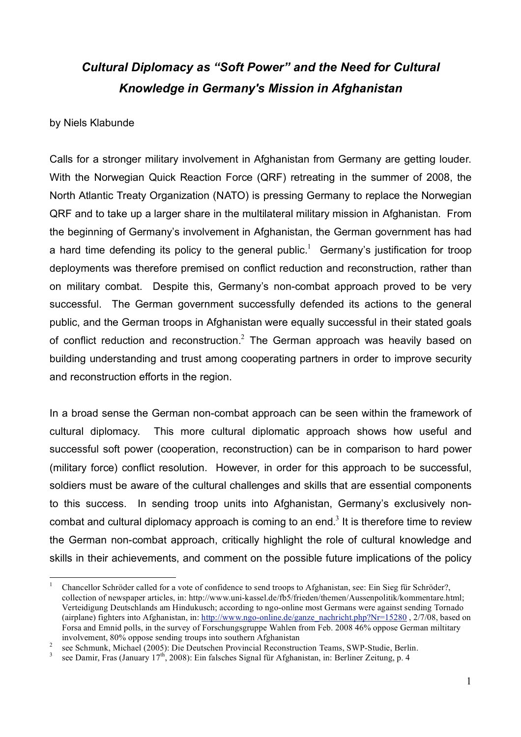## *Cultural Diplomacy as "Soft Power" and the Need for Cultural Knowledge in Germany's Mission in Afghanistan*

## by Niels Klabunde

Calls for a stronger military involvement in Afghanistan from Germany are getting louder. With the Norwegian Quick Reaction Force (QRF) retreating in the summer of 2008, the North Atlantic Treaty Organization (NATO) is pressing Germany to replace the Norwegian QRF and to take up a larger share in the multilateral military mission in Afghanistan. From the beginning of Germany's involvement in Afghanistan, the German government has had a hard time defending its policy to the general public.<sup>1</sup> Germany's justification for troop deployments was therefore premised on conflict reduction and reconstruction, rather than on military combat. Despite this, Germany's non-combat approach proved to be very successful. The German government successfully defended its actions to the general public, and the German troops in Afghanistan were equally successful in their stated goals of conflict reduction and reconstruction. $^2$  The German approach was heavily based on building understanding and trust among cooperating partners in order to improve security and reconstruction efforts in the region.

In a broad sense the German non-combat approach can be seen within the framework of cultural diplomacy. This more cultural diplomatic approach shows how useful and successful soft power (cooperation, reconstruction) can be in comparison to hard power (military force) conflict resolution. However, in order for this approach to be successful, soldiers must be aware of the cultural challenges and skills that are essential components to this success. In sending troop units into Afghanistan, Germany's exclusively noncombat and cultural diplomacy approach is coming to an end.<sup>3</sup> It is therefore time to review the German non-combat approach, critically highlight the role of cultural knowledge and skills in their achievements, and comment on the possible future implications of the policy

 <sup>1</sup> Chancellor Schröder called for <sup>a</sup> vote of confidence to send troops to Afghanistan, see: Ein Sieg für Schröder?, collection of newspaper articles, in: http://www.uni-kassel.de/fb5/frieden/themen/Aussenpolitik/kommentare.html; Verteidigung Deutschlands am Hindukusch; according to ngo-online most Germans were against sending Tornado (airplane) fighters into Afghanistan, in: http://www.ngo-online.de/ganze\_nachricht.php?Nr=15280 , 2/7/08, based on Forsa and Emnid polls, in the survey of Forschungsgruppe Wahlen from Feb. 2008 46% oppose German miltitary involvement, 80% oppose sending troups into southern Afghanistan

involvement, 80% oppose sending troups into southern Afghanistan<br>
see Schmunk, Michael (2005): Die Deutschen Provincial Reconstruction Teams, SWP-Studie, Berlin.<br>
see Damir, Fras (January 17<sup>th</sup>, 2008): Ein falsches Signa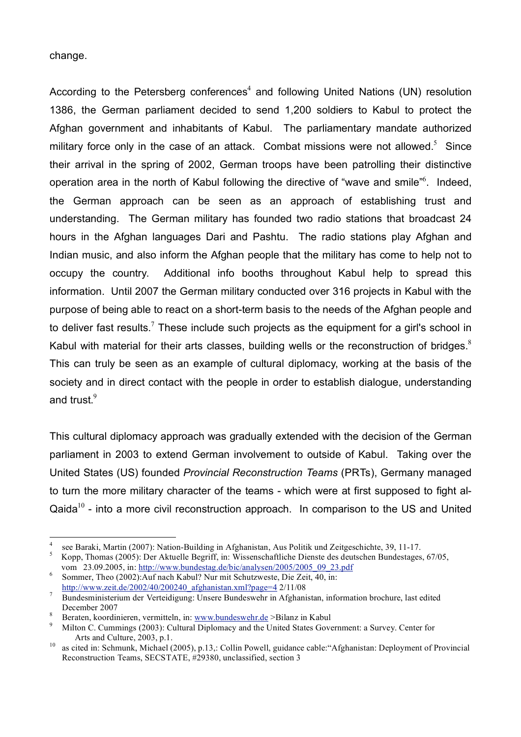change.

According to the Petersberg conferences<sup>4</sup> and following United Nations (UN) resolution 1386, the German parliament decided to send 1,200 soldiers to Kabul to protect the Afghan government and inhabitants of Kabul. The parliamentary mandate authorized military force only in the case of an attack. Combat missions were not allowed.<sup>5</sup> Since their arrival in the spring of 2002, German troops have been patrolling their distinctive operation area in the north of Kabul following the directive of "wave and smile"<sup>6</sup>. Indeed, the German approach can be seen as an approach of establishing trust and understanding. The German military has founded two radio stations that broadcast 24 hours in the Afghan languages Dari and Pashtu. The radio stations play Afghan and Indian music, and also inform the Afghan people that the military has come to help not to occupy the country. Additional info booths throughout Kabul help to spread this information. Until 2007 the German military conducted over 316 projects in Kabul with the purpose of being able to react on a short-term basis to the needs of the Afghan people and to deliver fast results. $7$  These include such projects as the equipment for a girl's school in Kabul with material for their arts classes, building wells or the reconstruction of bridges. $8$ This can truly be seen as an example of cultural diplomacy, working at the basis of the society and in direct contact with the people in order to establish dialogue, understanding and trust. $^9$ 

This cultural diplomacy approach was gradually extended with the decision of the German parliament in 2003 to extend German involvement to outside of Kabul. Taking over the United States (US) founded *Provincial Reconstruction Teams* (PRTs), Germany managed to turn the more military character of the teams - which were at first supposed to fight al-Qaida $10$  - into a more civil reconstruction approach. In comparison to the US and United

see Baraki, Martin (2007): Nation-Building in Afghanistan, Aus Politik und Zeitgeschichte, 39, 11-17.<br>Kopp, Thomas (2005): Der Aktuelle Begriff, in: Wissenschaftliche Dienste des deutschen Bundestages, 67/05,

vom 23.09.2005, in: http://www.bundestag.de/bic/analysen/2005/2005\_09\_23.pdf Sommer, Theo (2002):Auf nach Kabul? Nur mit Schutzweste, Die Zeit, 40, in:

http://www.zeit.de/2002/40/200240\_afghanistan.xml?page=4 2/11/08 <sup>7</sup> Bundesministerium der Verteidigung: Unsere Bundeswehr in Afghanistan, information brochure, last edited

Beraten, koordinieren, vermitteln, in: www.bundeswehr.de >Bilanz in Kabul<br>
9 Milton C. Cummings (2003): Cultural Diplomacy and the United States Government: a Survey. Center for<br>
Arts and Culture, 2003, p.1.

<sup>&</sup>lt;sup>10</sup> as cited in: Schmunk, Michael (2005), p.13,: Collin Powell, guidance cable: "Afghanistan: Deployment of Provincial Reconstruction Teams, SECSTATE, #29380, unclassified, section 3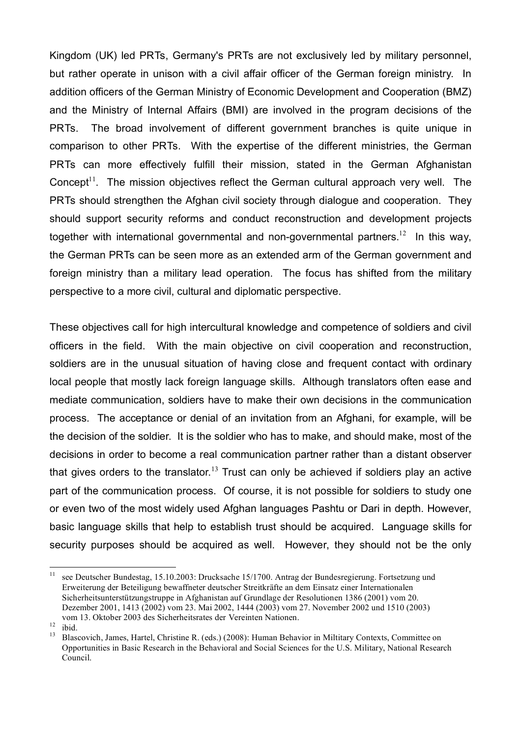Kingdom (UK) led PRTs, Germany's PRTs are not exclusively led by military personnel, but rather operate in unison with a civil affair officer of the German foreign ministry. In addition officers of the German Ministry of Economic Development and Cooperation (BMZ) and the Ministry of Internal Affairs (BMI) are involved in the program decisions of the PRTs. The broad involvement of different government branches is quite unique in comparison to other PRTs. With the expertise of the different ministries, the German PRTs can more effectively fulfill their mission, stated in the German Afghanistan Concept $1$ <sup>1</sup>. The mission objectives reflect the German cultural approach very well. The PRTs should strengthen the Afghan civil society through dialogue and cooperation. They should support security reforms and conduct reconstruction and development projects together with international governmental and non-governmental partners.<sup>12</sup> In this way, the German PRTs can be seen more as an extended arm of the German government and foreign ministry than a military lead operation. The focus has shifted from the military perspective to a more civil, cultural and diplomatic perspective.

These objectives call for high intercultural knowledge and competence of soldiers and civil officers in the field. With the main objective on civil cooperation and reconstruction, soldiers are in the unusual situation of having close and frequent contact with ordinary local people that mostly lack foreign language skills. Although translators often ease and mediate communication, soldiers have to make their own decisions in the communication process. The acceptance or denial of an invitation from an Afghani, for example, will be the decision of the soldier. It is the soldier who has to make, and should make, most of the decisions in order to become a real communication partner rather than a distant observer that gives orders to the translator.<sup>13</sup> Trust can only be achieved if soldiers play an active part of the communication process. Of course, it is not possible for soldiers to study one or even two of the most widely used Afghan languages Pashtu or Dari in depth. However, basic language skills that help to establish trust should be acquired. Language skills for security purposes should be acquired as well. However, they should not be the only

 <sup>11</sup> see Deutscher Bundestag, 15.10.2003: Drucksache 15/1700. Antrag der Bundesregierung. Fortsetzung und Erweiterung der Beteiligung bewaffneter deutscher Streitkräfte an dem Einsatz einer Internationalen Sicherheitsunterstützungstruppe in Afghanistan auf Grundlage der Resolutionen 1386 (2001) vom 20. Dezember 2001, 1413 (2002) vom 23. Mai 2002, 1444 (2003) vom 27. November 2002 und 1510 (2003) vom 13. Oktober 2003 des Sicherheitsrates der Vereinten Nationen.

<sup>&</sup>lt;sup>12</sup> ibid.<br><sup>13</sup> Blascovich, James, Hartel, Christine R. (eds.) (2008): Human Behavior in Miltitary Contexts, Committee on Opportunities in Basic Research in the Behavioral and Social Sciences for the U.S. Military, National Research Council.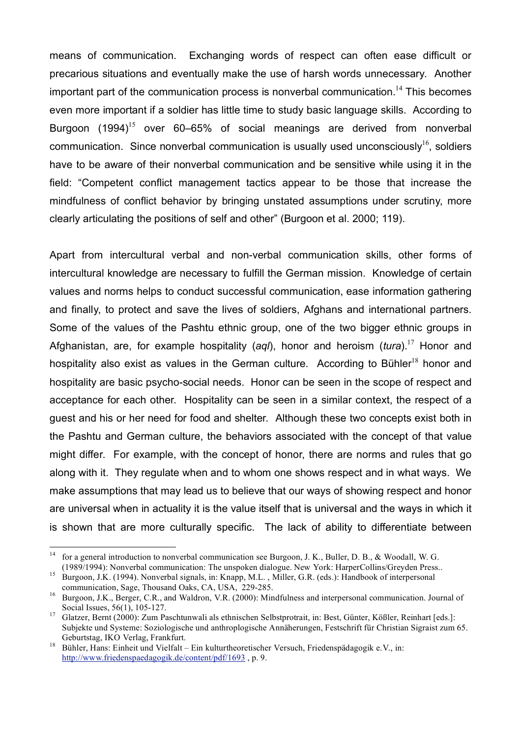means of communication. Exchanging words of respect can often ease difficult or precarious situations and eventually make the use of harsh words unnecessary. Another important part of the communication process is nonverbal communication. <sup>14</sup> This becomes even more important if a soldier has little time to study basic language skills. According to Burgoon (1994)<sup>15</sup> over 60–65% of social meanings are derived from nonverbal communication. Since nonverbal communication is usually used unconsciously $^{16}$ , soldiers have to be aware of their nonverbal communication and be sensitive while using it in the field: "Competent conflict management tactics appear to be those that increase the mindfulness of conflict behavior by bringing unstated assumptions under scrutiny, more clearly articulating the positions of self and other" (Burgoon et al. 2000; 119).

Apart from intercultural verbal and non-verbal communication skills, other forms of intercultural knowledge are necessary to fulfill the German mission. Knowledge of certain values and norms helps to conduct successful communication, ease information gathering and finally, to protect and save the lives of soldiers, Afghans and international partners. Some of the values of the Pashtu ethnic group, one of the two bigger ethnic groups in Afghanistan, are, for example hospitality (*aql*), honor and heroism (*tura*). <sup>17</sup> Honor and hospitality also exist as values in the German culture. According to Bühler<sup>18</sup> honor and hospitality are basic psycho-social needs. Honor can be seen in the scope of respect and acceptance for each other. Hospitality can be seen in a similar context, the respect of a guest and his or her need for food and shelter. Although these two concepts exist both in the Pashtu and German culture, the behaviors associated with the concept of that value might differ. For example, with the concept of honor, there are norms and rules that go along with it. They regulate when and to whom one shows respect and in what ways. We make assumptions that may lead us to believe that our ways of showing respect and honor are universal when in actuality it is the value itself that is universal and the ways in which it is shown that are more culturally specific. The lack of ability to differentiate between

<sup>&</sup>lt;sup>14</sup> for a general introduction to nonverbal communication see Burgoon, J. K., Buller, D. B., & Woodall, W. G. (1989/1994): Nonverbal communication: The unspoken dialogue. New York: HarperCollins/Greyden Press.. <sup>15</sup> Burgoon, J.K. (1994). Nonverbal signals, in: Knapp, M.L. , Miller, G.R. (eds.): Handbook of interpersonal

communication, Sage, Thousand Oaks, CA, USA, 229-285.<br><sup>16</sup> Burgoon, J.K., Berger, C.R., and Waldron, V.R. (2000): Mindfulness and interpersonal communication. Journal of

Social Issues, 56(1), 105-127. <sup>17</sup> Glatzer, Bernt (2000): Zum Paschtunwali als ethnischen Selbstprotrait, in: Best, Günter, Kößler, Reinhart [eds.]:

Subjekte und Systeme: Soziologische und anthroplogische Annäherungen, Festschrift für Christian Sigraist zum 65.

 $^{18}$  Bühler, Hans: Einheit und Vielfalt – Ein kulturtheoretischer Versuch, Friedenspädagogik e.V., in: http://www.friedenspaedagogik.de/content/pdf/1693 , p. 9.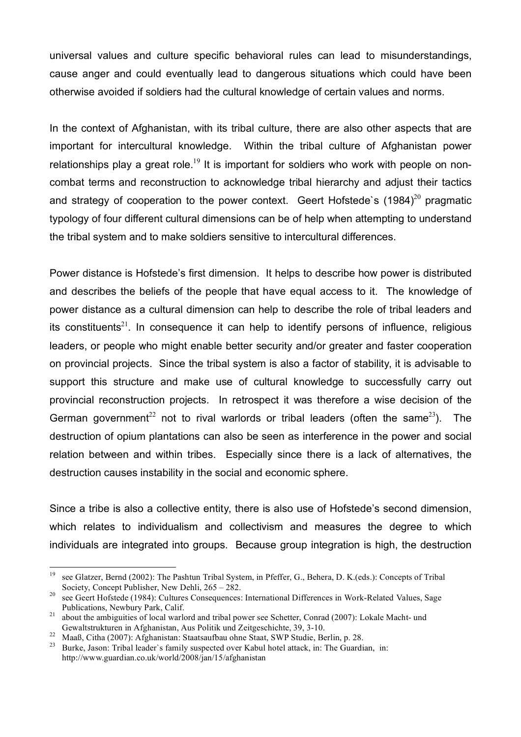universal values and culture specific behavioral rules can lead to misunderstandings, cause anger and could eventually lead to dangerous situations which could have been otherwise avoided if soldiers had the cultural knowledge of certain values and norms.

In the context of Afghanistan, with its tribal culture, there are also other aspects that are important for intercultural knowledge. Within the tribal culture of Afghanistan power relationships play a great role.<sup>19</sup> It is important for soldiers who work with people on noncombat terms and reconstruction to acknowledge tribal hierarchy and adjust their tactics and strategy of cooperation to the power context. Geert Hofstede's  $(1984)^{20}$  pragmatic typology of four different cultural dimensions can be of help when attempting to understand the tribal system and to make soldiers sensitive to intercultural differences.

Power distance is Hofstede's first dimension. It helps to describe how power is distributed and describes the beliefs of the people that have equal access to it. The knowledge of power distance as a cultural dimension can help to describe the role of tribal leaders and its constituents<sup>21</sup>. In consequence it can help to identify persons of influence, religious leaders, or people who might enable better security and/or greater and faster cooperation on provincial projects. Since the tribal system is also a factor of stability, it is advisable to support this structure and make use of cultural knowledge to successfully carry out provincial reconstruction projects. In retrospect it was therefore a wise decision of the German government<sup>22</sup> not to rival warlords or tribal leaders (often the same<sup>23</sup>). The destruction of opium plantations can also be seen as interference in the power and social relation between and within tribes. Especially since there is a lack of alternatives, the destruction causes instability in the social and economic sphere.

Since a tribe is also a collective entity, there is also use of Hofstede's second dimension, which relates to individualism and collectivism and measures the degree to which individuals are integrated into groups. Because group integration is high, the destruction

<sup>&</sup>lt;sup>19</sup> see Glatzer, Bernd (2002): The Pashtun Tribal System, in Pfeffer, G., Behera, D. K.(eds.): Concepts of Tribal

Society, Concept Publisher, New Dehli,  $265 - 282$ .<br><sup>20</sup> see Geert Hofstede (1984): Cultures Consequences: International Differences in Work-Related Values, Sage<br>Publications, Newbury Park, Calif.

<sup>&</sup>lt;sup>21</sup> about the ambiguities of local warlord and tribal power see Schetter, Conrad (2007): Lokale Macht- und Gewaltstrukturen in Afghanistan, Aus Politik und Zeitgeschichte, 39, 3-10.<br>
<sup>22</sup> Maaß, Citha (2007): Afghanistan: Staatsaufbau ohne Staat, SWP Studie, Berlin, p. 28.<br>
<sup>23</sup> Burke, Jason: Tribal leader's family suspected ove

http://www.guardian.co.uk/world/2008/jan/15/afghanistan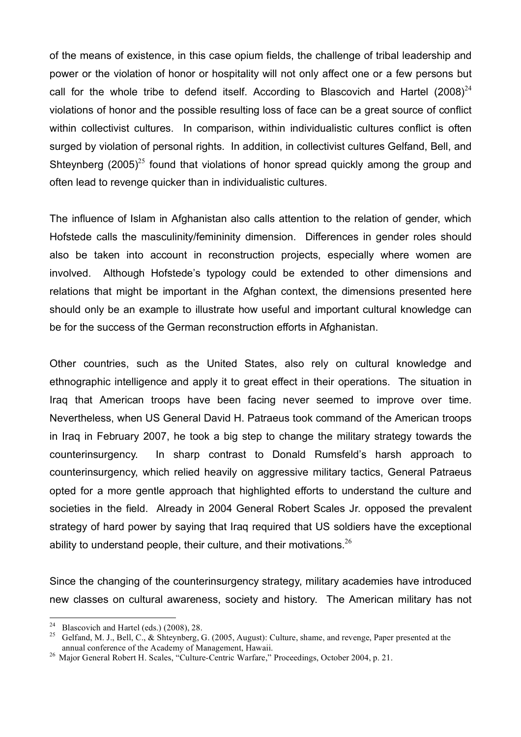of the means of existence, in this case opium fields, the challenge of tribal leadership and power or the violation of honor or hospitality will not only affect one or a few persons but call for the whole tribe to defend itself. According to Blascovich and Hartel (2008)<sup>24</sup> violations of honor and the possible resulting loss of face can be a great source of conflict within collectivist cultures. In comparison, within individualistic cultures conflict is often surged by violation of personal rights. In addition, in collectivist cultures Gelfand, Bell, and Shteynberg  $(2005)^{25}$  found that violations of honor spread quickly among the group and often lead to revenge quicker than in individualistic cultures.

The influence of Islam in Afghanistan also calls attention to the relation of gender, which Hofstede calls the masculinity/femininity dimension. Differences in gender roles should also be taken into account in reconstruction projects, especially where women are involved. Although Hofstede's typology could be extended to other dimensions and relations that might be important in the Afghan context, the dimensions presented here should only be an example to illustrate how useful and important cultural knowledge can be for the success of the German reconstruction efforts in Afghanistan.

Other countries, such as the United States, also rely on cultural knowledge and ethnographic intelligence and apply it to great effect in their operations. The situation in Iraq that American troops have been facing never seemed to improve over time. Nevertheless, when US General David H. Patraeus took command of the American troops in Iraq in February 2007, he took a big step to change the military strategy towards the counterinsurgency. In sharp contrast to Donald Rumsfeld's harsh approach to counterinsurgency, which relied heavily on aggressive military tactics, General Patraeus opted for a more gentle approach that highlighted efforts to understand the culture and societies in the field. Already in 2004 General Robert Scales Jr. opposed the prevalent strategy of hard power by saying that Iraq required that US soldiers have the exceptional ability to understand people, their culture, and their motivations.  $26$ 

Since the changing of the counterinsurgency strategy, military academies have introduced new classes on cultural awareness, society and history. The American military has not

<sup>&</sup>lt;sup>24</sup> Blascovich and Hartel (eds.) (2008), 28.<br><sup>25</sup> Gelfand, M. J., Bell, C., & Shteynberg, G. (2005, August): Culture, shame, and revenge, Paper presented at the annual conference of the Academy of Management. Hawaii.

<sup>&</sup>lt;sup>26</sup> Major General Robert H. Scales, "Culture-Centric Warfare," Proceedings, October 2004, p. 21.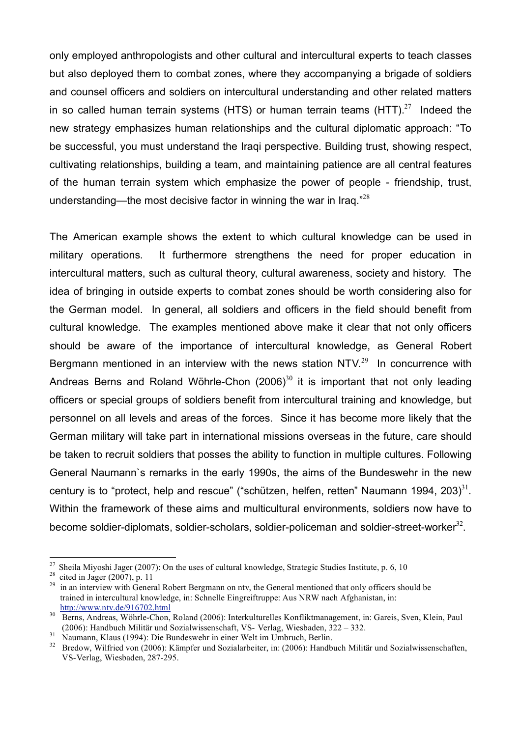only employed anthropologists and other cultural and intercultural experts to teach classes but also deployed them to combat zones, where they accompanying a brigade of soldiers and counsel officers and soldiers on intercultural understanding and other related matters in so called human terrain systems (HTS) or human terrain teams (HTT). $^{27}$  Indeed the new strategy emphasizes human relationships and the cultural diplomatic approach: "To be successful, you must understand the Iraqi perspective. Building trust, showing respect, cultivating relationships, building a team, and maintaining patience are all central features of the human terrain system which emphasize the power of people - friendship, trust, understanding—the most decisive factor in winning the war in Iraq." $^{28}$ 

The American example shows the extent to which cultural knowledge can be used in military operations. It furthermore strengthens the need for proper education in intercultural matters, such as cultural theory, cultural awareness, society and history. The idea of bringing in outside experts to combat zones should be worth considering also for the German model. In general, all soldiers and officers in the field should benefit from cultural knowledge. The examples mentioned above make it clear that not only officers should be aware of the importance of intercultural knowledge, as General Robert Bergmann mentioned in an interview with the news station NTV. $^{29}$  In concurrence with Andreas Berns and Roland Wöhrle-Chon  $(2006)^{30}$  it is important that not only leading officers or special groups of soldiers benefit from intercultural training and knowledge, but personnel on all levels and areas of the forces. Since it has become more likely that the German military will take part in international missions overseas in the future, care should be taken to recruit soldiers that posses the ability to function in multiple cultures. Following General Naumann`s remarks in the early 1990s, the aims of the Bundeswehr in the new century is to "protect, help and rescue" ("schützen, helfen, retten" Naumann 1994, 203) $^{31}$ . Within the framework of these aims and multicultural environments, soldiers now have to become soldier-diplomats, soldier-scholars, soldier-policeman and soldier-street-worker<sup>32</sup>.

<sup>&</sup>lt;sup>27</sup> Sheila Miyoshi Jager (2007): On the uses of cultural knowledge, Strategic Studies Institute, p. 6, 10<br><sup>28</sup> cited in Jager (2007), p. 11<br><sup>29</sup> in an interview with General Robert Bergmann on ntv, the General mentioned trained in intercultural knowledge, in: Schnelle Eingreiftruppe: Aus NRW nach Afghanistan, in: http://www.ntv.de/916702.html

<sup>&</sup>lt;sup>30</sup> Berns, Andreas, Wöhrle-Chon, Roland (2006): Interkulturelles Konfliktmanagement, in: Gareis, Sven, Klein, Paul (2006): Handbuch Militär und Sozialwissenschaft, VS- Verlag, Wiesbaden, 322 – 332.<br>
Naumann, Klaus (1994): Die Bundeswehr in einer Welt im Umbruch, Berlin.<br>
<sup>31</sup> Bredow. Wilfried von (2006): Kämpfer und Sozialarbeiter. in

VS-Verlag, Wiesbaden, 287-295.